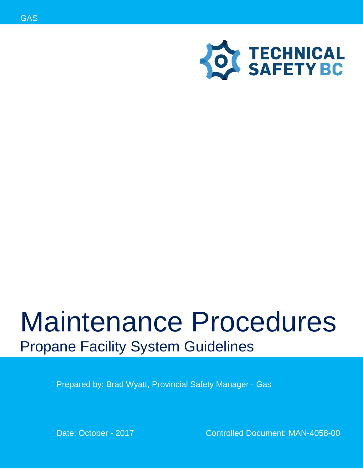



# Maintenance Procedures Propane Facility System Guidelines

Prepared by: Brad Wyatt, Provincial Safety Manager - Gas

Date: October - 2017 Controlled Document: MAN-4058-00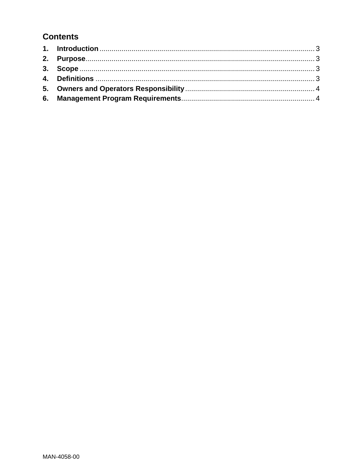## **Contents**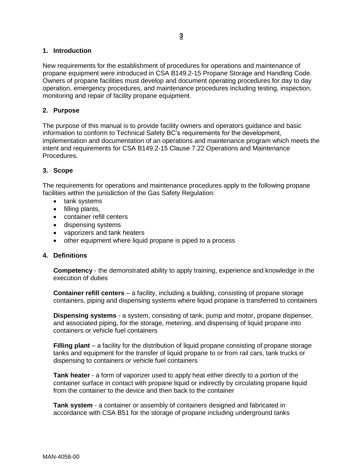#### <span id="page-2-0"></span>**1. Introduction**

New requirements for the establishment of procedures for operations and maintenance of propane equipment were introduced in CSA B149.2-15 Propane Storage and Handling Code. Owners of propane facilities must develop and document operating procedures for day to day operation, emergency procedures, and maintenance procedures including testing, inspection, monitoring and repair of facility propane equipment.

#### <span id="page-2-1"></span>**2. Purpose**

The purpose of this manual is to provide facility owners and operators guidance and basic information to conform to Technical Safety BC's requirements for the development, implementation and documentation of an operations and maintenance program which meets the intent and requirements for CSA B149.2-15 Clause 7.22 Operations and Maintenance Procedures.

#### <span id="page-2-2"></span>**3. Scope**

The requirements for operations and maintenance procedures apply to the following propane facilities within the jurisdiction of the Gas Safety Regulation:

- tank systems
- $\bullet$  filling plants,
- container refill centers
- **•** dispensing systems
- vaporizers and tank heaters
- other equipment where liquid propane is piped to a process

#### <span id="page-2-3"></span>**4. Definitions**

**Competency** - the demonstrated ability to apply training, experience and knowledge in the execution of duties

**Container refill centers** – a facility, including a building, consisting of propane storage containers, piping and dispensing systems where liquid propane is transferred to containers

**Dispensing systems** - a system, consisting of tank, pump and motor, propane dispenser, and associated piping, for the storage, metering, and dispensing of liquid propane into containers or vehicle fuel containers

**Filling plant** – a facility for the distribution of liquid propane consisting of propane storage tanks and equipment for the transfer of liquid propane to or from rail cars, tank trucks or dispensing to containers or vehicle fuel containers

**Tank heater** - a form of vaporizer used to apply heat either directly to a portion of the container surface in contact with propane liquid or indirectly by circulating propane liquid from the container to the device and then back to the container

**Tank system** - a container or assembly of containers designed and fabricated in accordance with CSA B51 for the storage of propane including underground tanks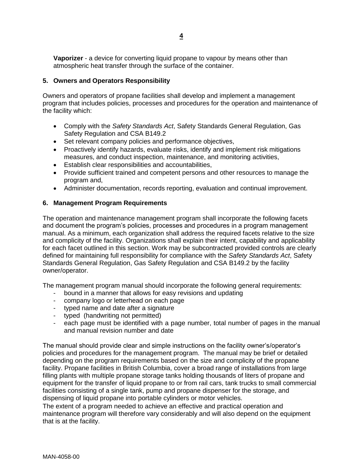**Vaporizer** - a device for converting liquid propane to vapour by means other than atmospheric heat transfer through the surface of the container.

#### <span id="page-3-0"></span>**5. Owners and Operators Responsibility**

Owners and operators of propane facilities shall develop and implement a management program that includes policies, processes and procedures for the operation and maintenance of the facility which:

- Comply with the *Safety Standards Act*, Safety Standards General Regulation, Gas Safety Regulation and CSA B149.2
- Set relevant company policies and performance objectives,
- Proactively identify hazards, evaluate risks, identify and implement risk mitigations measures, and conduct inspection, maintenance, and monitoring activities,
- Establish clear responsibilities and accountabilities,
- Provide sufficient trained and competent persons and other resources to manage the program and,
- Administer documentation, records reporting, evaluation and continual improvement.

#### <span id="page-3-1"></span>**6. Management Program Requirements**

The operation and maintenance management program shall incorporate the following facets and document the program's policies, processes and procedures in a program management manual. As a minimum, each organization shall address the required facets relative to the size and complicity of the facility. Organizations shall explain their intent, capability and applicability for each facet outlined in this section. Work may be subcontracted provided controls are clearly defined for maintaining full responsibility for compliance with the *Safety Standards Act*, Safety Standards General Regulation, Gas Safety Regulation and CSA B149.2 by the facility owner/operator.

The management program manual should incorporate the following general requirements:

- bound in a manner that allows for easy revisions and updating
- company logo or letterhead on each page
- typed name and date after a signature
- typed (handwriting not permitted)
- each page must be identified with a page number, total number of pages in the manual and manual revision number and date

The manual should provide clear and simple instructions on the facility owner's/operator's policies and procedures for the management program. The manual may be brief or detailed depending on the program requirements based on the size and complicity of the propane facility. Propane facilities in British Columbia, cover a broad range of installations from large filling plants with multiple propane storage tanks holding thousands of liters of propane and equipment for the transfer of liquid propane to or from rail cars, tank trucks to small commercial facilities consisting of a single tank, pump and propane dispenser for the storage, and dispensing of liquid propane into portable cylinders or motor vehicles.

The extent of a program needed to achieve an effective and practical operation and maintenance program will therefore vary considerably and will also depend on the equipment that is at the facility.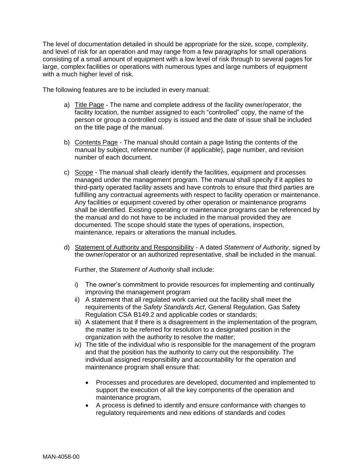The level of documentation detailed in should be appropriate for the size, scope, complexity, and level of risk for an operation and may range from a few paragraphs for small operations consisting of a small amount of equipment with a low level of risk through to several pages for large, complex facilities or operations with numerous types and large numbers of equipment with a much higher level of risk.

The following features are to be included in every manual:

- a) Title Page The name and complete address of the facility owner/operator, the facility location, the number assigned to each "controlled" copy, the name of the person or group a controlled copy is issued and the date of issue shall be included on the title page of the manual.
- b) Contents Page The manual should contain a page listing the contents of the manual by subject, reference number (if applicable), page number, and revision number of each document.
- c) Scope The manual shall clearly identify the facilities, equipment and processes managed under the management program. The manual shall specify if it applies to third-party operated facility assets and have controls to ensure that third parties are fulfilling any contractual agreements with respect to facility operation or maintenance. Any facilities or equipment covered by other operation or maintenance programs shall be identified. Existing operating or maintenance programs can be referenced by the manual and do not have to be included in the manual provided they are documented. The scope should state the types of operations, inspection, maintenance, repairs or alterations the manual includes.
- d) Statement of Authority and Responsibility A dated *Statement of Authority*, signed by the owner/operator or an authorized representative, shall be included in the manual.

Further, the *Statement of Authority* shall include:

- i) The owner's commitment to provide resources for implementing and continually improving the management program
- ii) A statement that all regulated work carried out the facility shall meet the requirements of the *Safety Standards Act*, General Regulation, Gas Safety Regulation CSA B149.2 and applicable codes or standards;
- iii) A statement that if there is a disagreement in the implementation of the program, the matter is to be referred for resolution to a designated position in the organization with the authority to resolve the matter;
- iv) The title of the individual who is responsible for the management of the program and that the position has the authority to carry out the responsibility. The individual assigned responsibility and accountability for the operation and maintenance program shall ensure that:
	- Processes and procedures are developed, documented and implemented to support the execution of all the key components of the operation and maintenance program,
	- A process is defined to identify and ensure conformance with changes to regulatory requirements and new editions of standards and codes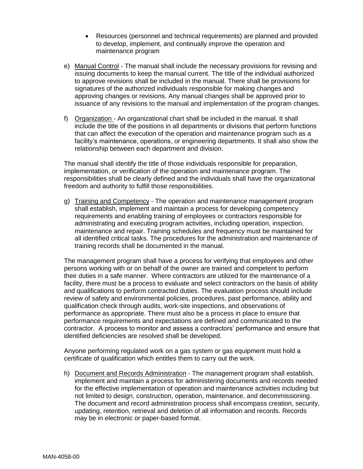- Resources (personnel and technical requirements) are planned and provided to develop, implement, and continually improve the operation and maintenance program
- e) Manual Control The manual shall include the necessary provisions for revising and issuing documents to keep the manual current. The title of the individual authorized to approve revisions shall be included in the manual. There shall be provisions for signatures of the authorized individuals responsible for making changes and approving changes or revisions. Any manual changes shall be approved prior to issuance of any revisions to the manual and implementation of the program changes.
- f) Organization An organizational chart shall be included in the manual. It shall include the title of the positions in all departments or divisions that perform functions that can affect the execution of the operation and maintenance program such as a facility's maintenance, operations, or engineering departments. It shall also show the relationship between each department and division.

The manual shall identify the title of those individuals responsible for preparation, implementation, or verification of the operation and maintenance program. The responsibilities shall be clearly defined and the individuals shall have the organizational freedom and authority to fulfill those responsibilities.

g) Training and Competency - The operation and maintenance management program shall establish, implement and maintain a process for developing competency requirements and enabling training of employees or contractors responsible for administrating and executing program activities, including operation, inspection, maintenance and repair. Training schedules and frequency must be maintained for all identified critical tasks. The procedures for the administration and maintenance of training records shall be documented in the manual.

The management program shall have a process for verifying that employees and other persons working with or on behalf of the owner are trained and competent to perform their duties in a safe manner. Where contractors are utilized for the maintenance of a facility, there must be a process to evaluate and select contractors on the basis of ability and qualifications to perform contracted duties. The evaluation process should include review of safety and environmental policies, procedures, past performance, ability and qualification check through audits, work-site inspections, and observations of performance as appropriate. There must also be a process in place to ensure that performance requirements and expectations are defined and communicated to the contractor. A process to monitor and assess a contractors' performance and ensure that identified deficiencies are resolved shall be developed.

Anyone performing regulated work on a gas system or gas equipment must hold a certificate of qualification which entitles them to carry out the work.

h) Document and Records Administration - The management program shall establish, implement and maintain a process for administering documents and records needed for the effective implementation of operation and maintenance activities including but not limited to design, construction, operation, maintenance, and decommissioning. The document and record administration process shall encompass creation, security, updating, retention, retrieval and deletion of all information and records. Records may be in electronic or paper-based format.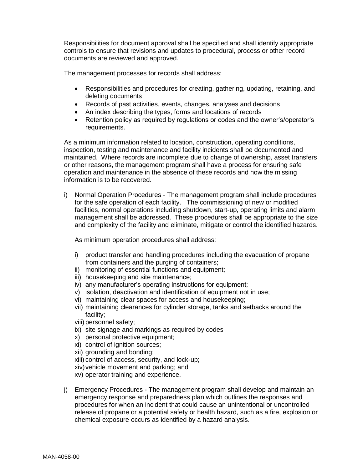Responsibilities for document approval shall be specified and shall identify appropriate controls to ensure that revisions and updates to procedural, process or other record documents are reviewed and approved.

The management processes for records shall address:

- Responsibilities and procedures for creating, gathering, updating, retaining, and deleting documents
- Records of past activities, events, changes, analyses and decisions
- An index describing the types, forms and locations of records
- Retention policy as required by regulations or codes and the owner's/operator's requirements.

As a minimum information related to location, construction, operating conditions, inspection, testing and maintenance and facility incidents shall be documented and maintained. Where records are incomplete due to change of ownership, asset transfers or other reasons, the management program shall have a process for ensuring safe operation and maintenance in the absence of these records and how the missing information is to be recovered.

i) Normal Operation Procedures - The management program shall include procedures for the safe operation of each facility. The commissioning of new or modified facilities, normal operations including shutdown, start-up, operating limits and alarm management shall be addressed. These procedures shall be appropriate to the size and complexity of the facility and eliminate, mitigate or control the identified hazards.

As minimum operation procedures shall address:

- i) product transfer and handling procedures including the evacuation of propane from containers and the purging of containers;
- ii) monitoring of essential functions and equipment;
- iii) housekeeping and site maintenance;
- iv) any manufacturer's operating instructions for equipment;
- v) isolation, deactivation and identification of equipment not in use;
- vi) maintaining clear spaces for access and housekeeping;
- vii) maintaining clearances for cylinder storage, tanks and setbacks around the facility;
- viii) personnel safety;
- ix) site signage and markings as required by codes
- x) personal protective equipment;
- xi) control of ignition sources;
- xii) grounding and bonding;
- xiii) control of access, security, and lock-up;
- xiv)vehicle movement and parking; and
- xv) operator training and experience.
- j) Emergency Procedures The management program shall develop and maintain an emergency response and preparedness plan which outlines the responses and procedures for when an incident that could cause an unintentional or uncontrolled release of propane or a potential safety or health hazard, such as a fire, explosion or chemical exposure occurs as identified by a hazard analysis.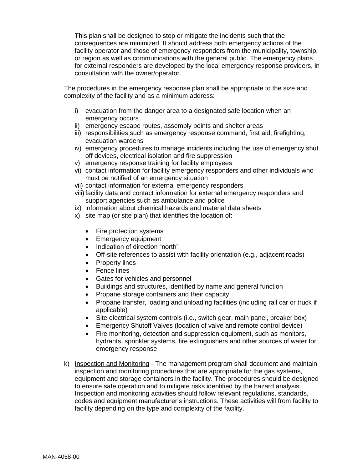This plan shall be designed to stop or mitigate the incidents such that the consequences are minimized. It should address both emergency actions of the facility operator and those of emergency responders from the municipality, township, or region as well as communications with the general public. The emergency plans for external responders are developed by the local emergency response providers, in consultation with the owner/operator.

The procedures in the emergency response plan shall be appropriate to the size and complexity of the facility and as a minimum address:

- i) evacuation from the danger area to a designated safe location when an emergency occurs
- ii) emergency escape routes, assembly points and shelter areas
- iii) responsibilities such as emergency response command, first aid, firefighting, evacuation wardens
- iv) emergency procedures to manage incidents including the use of emergency shut off devices, electrical isolation and fire suppression
- v) emergency response training for facility employees
- vi) contact information for facility emergency responders and other individuals who must be notified of an emergency situation
- vii) contact information for external emergency responders
- viii)facility data and contact information for external emergency responders and support agencies such as ambulance and police
- ix) information about chemical hazards and material data sheets
- x) site map (or site plan) that identifies the location of:
	- Fire protection systems
	- Emergency equipment
	- Indication of direction "north"
	- Off-site references to assist with facility orientation (e.g., adjacent roads)
	- Property lines
	- Fence lines
	- Gates for vehicles and personnel
	- Buildings and structures, identified by name and general function
	- Propane storage containers and their capacity
	- Propane transfer, loading and unloading facilities (including rail car or truck if applicable)
	- Site electrical system controls (i.e., switch gear, main panel, breaker box)
	- Emergency Shutoff Valves (location of valve and remote control device)
	- Fire monitoring, detection and suppression equipment, such as monitors, hydrants, sprinkler systems, fire extinguishers and other sources of water for emergency response
- k) Inspection and Monitoring The management program shall document and maintain inspection and monitoring procedures that are appropriate for the gas systems, equipment and storage containers in the facility. The procedures should be designed to ensure safe operation and to mitigate risks identified by the hazard analysis. Inspection and monitoring activities should follow relevant regulations, standards, codes and equipment manufacturer's instructions. These activities will from facility to facility depending on the type and complexity of the facility.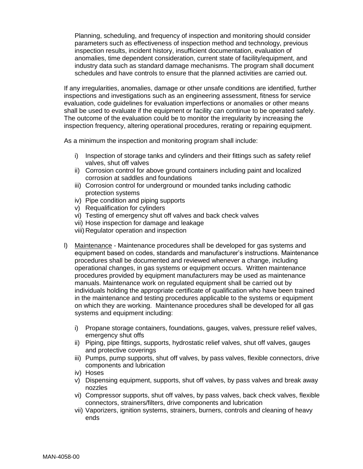Planning, scheduling, and frequency of inspection and monitoring should consider parameters such as effectiveness of inspection method and technology, previous inspection results, incident history, insufficient documentation, evaluation of anomalies, time dependent consideration, current state of facility/equipment, and industry data such as standard damage mechanisms. The program shall document schedules and have controls to ensure that the planned activities are carried out.

If any irregularities, anomalies, damage or other unsafe conditions are identified, further inspections and investigations such as an engineering assessment, fitness for service evaluation, code guidelines for evaluation imperfections or anomalies or other means shall be used to evaluate if the equipment or facility can continue to be operated safely. The outcome of the evaluation could be to monitor the irregularity by increasing the inspection frequency, altering operational procedures, rerating or repairing equipment.

As a minimum the inspection and monitoring program shall include:

- i) Inspection of storage tanks and cylinders and their fittings such as safety relief valves, shut off valves
- ii) Corrosion control for above ground containers including paint and localized corrosion at saddles and foundations
- iii) Corrosion control for underground or mounded tanks including cathodic protection systems
- iv) Pipe condition and piping supports
- v) Requalification for cylinders
- vi) Testing of emergency shut off valves and back check valves
- vii) Hose inspection for damage and leakage
- viii) Regulator operation and inspection
- l) Maintenance Maintenance procedures shall be developed for gas systems and equipment based on codes, standards and manufacturer's instructions. Maintenance procedures shall be documented and reviewed whenever a change, including operational changes, in gas systems or equipment occurs. Written maintenance procedures provided by equipment manufacturers may be used as maintenance manuals. Maintenance work on regulated equipment shall be carried out by individuals holding the appropriate certificate of qualification who have been trained in the maintenance and testing procedures applicable to the systems or equipment on which they are working. Maintenance procedures shall be developed for all gas systems and equipment including:
	- i) Propane storage containers, foundations, gauges, valves, pressure relief valves, emergency shut offs
	- ii) Piping, pipe fittings, supports, hydrostatic relief valves, shut off valves, gauges and protective coverings
	- iii) Pumps, pump supports, shut off valves, by pass valves, flexible connectors, drive components and lubrication
	- iv) Hoses
	- v) Dispensing equipment, supports, shut off valves, by pass valves and break away nozzles
	- vi) Compressor supports, shut off valves, by pass valves, back check valves, flexible connectors, strainers/filters, drive components and lubrication
	- vii) Vaporizers, ignition systems, strainers, burners, controls and cleaning of heavy ends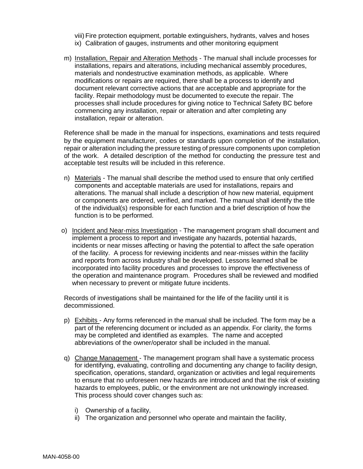viii)Fire protection equipment, portable extinguishers, hydrants, valves and hoses ix) Calibration of gauges, instruments and other monitoring equipment

m) Installation, Repair and Alteration Methods - The manual shall include processes for installations, repairs and alterations, including mechanical assembly procedures, materials and nondestructive examination methods, as applicable. Where modifications or repairs are required, there shall be a process to identify and document relevant corrective actions that are acceptable and appropriate for the facility. Repair methodology must be documented to execute the repair. The processes shall include procedures for giving notice to Technical Safety BC before commencing any installation, repair or alteration and after completing any installation, repair or alteration.

Reference shall be made in the manual for inspections, examinations and tests required by the equipment manufacturer, codes or standards upon completion of the installation, repair or alteration including the pressure testing of pressure components upon completion of the work. A detailed description of the method for conducting the pressure test and acceptable test results will be included in this reference.

- n) Materials The manual shall describe the method used to ensure that only certified components and acceptable materials are used for installations, repairs and alterations. The manual shall include a description of how new material, equipment or components are ordered, verified, and marked. The manual shall identify the title of the individual(s) responsible for each function and a brief description of how the function is to be performed.
- o) Incident and Near-miss Investigation The management program shall document and implement a process to report and investigate any hazards, potential hazards, incidents or near misses affecting or having the potential to affect the safe operation of the facility. A process for reviewing incidents and near-misses within the facility and reports from across industry shall be developed. Lessons learned shall be incorporated into facility procedures and processes to improve the effectiveness of the operation and maintenance program. Procedures shall be reviewed and modified when necessary to prevent or mitigate future incidents.

Records of investigations shall be maintained for the life of the facility until it is decommissioned.

- p) Exhibits Any forms referenced in the manual shall be included. The form may be a part of the referencing document or included as an appendix. For clarity, the forms may be completed and identified as examples. The name and accepted abbreviations of the owner/operator shall be included in the manual.
- q) Change Management The management program shall have a systematic process for identifying, evaluating, controlling and documenting any change to facility design, specification, operations, standard, organization or activities and legal requirements to ensure that no unforeseen new hazards are introduced and that the risk of existing hazards to employees, public, or the environment are not unknowingly increased. This process should cover changes such as:
	- i) Ownership of a facility,
	- ii) The organization and personnel who operate and maintain the facility,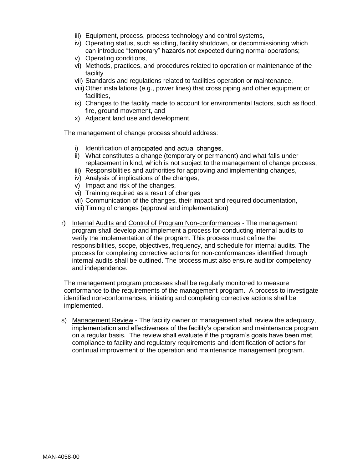- iii) Equipment, process, process technology and control systems,
- iv) Operating status, such as idling, facility shutdown, or decommissioning which can introduce "temporary" hazards not expected during normal operations;
- v) Operating conditions,
- vi) Methods, practices, and procedures related to operation or maintenance of the facility
- vii) Standards and regulations related to facilities operation or maintenance,
- viii)Other installations (e.g., power lines) that cross piping and other equipment or facilities,
- ix) Changes to the facility made to account for environmental factors, such as flood, fire, ground movement, and
- x) Adjacent land use and development.

The management of change process should address:

- i) Identification of anticipated and actual changes.
- ii) What constitutes a change (temporary or permanent) and what falls under replacement in kind, which is not subject to the management of change process,
- iii) Responsibilities and authorities for approving and implementing changes,
- iv) Analysis of implications of the changes,
- v) Impact and risk of the changes,
- vi) Training required as a result of changes
- vii) Communication of the changes, their impact and required documentation,
- viii)Timing of changes (approval and implementation)
- r) Internal Audits and Control of Program Non-conformances The management program shall develop and implement a process for conducting internal audits to verify the implementation of the program. This process must define the responsibilities, scope, objectives, frequency, and schedule for internal audits. The process for completing corrective actions for non-conformances identified through internal audits shall be outlined. The process must also ensure auditor competency and independence.

The management program processes shall be regularly monitored to measure conformance to the requirements of the management program. A process to investigate identified non-conformances, initiating and completing corrective actions shall be implemented.

s) Management Review - The facility owner or management shall review the adequacy, implementation and effectiveness of the facility's operation and maintenance program on a regular basis. The review shall evaluate if the program's goals have been met, compliance to facility and regulatory requirements and identification of actions for continual improvement of the operation and maintenance management program.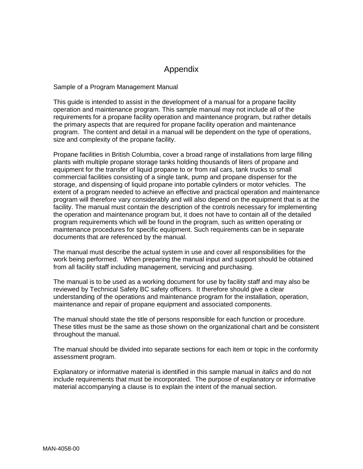## Appendix

Sample of a Program Management Manual

This guide is intended to assist in the development of a manual for a propane facility operation and maintenance program. This sample manual may not include all of the requirements for a propane facility operation and maintenance program, but rather details the primary aspects that are required for propane facility operation and maintenance program. The content and detail in a manual will be dependent on the type of operations, size and complexity of the propane facility.

Propane facilities in British Columbia, cover a broad range of installations from large filling plants with multiple propane storage tanks holding thousands of liters of propane and equipment for the transfer of liquid propane to or from rail cars, tank trucks to small commercial facilities consisting of a single tank, pump and propane dispenser for the storage, and dispensing of liquid propane into portable cylinders or motor vehicles. The extent of a program needed to achieve an effective and practical operation and maintenance program will therefore vary considerably and will also depend on the equipment that is at the facility. The manual must contain the description of the controls necessary for implementing the operation and maintenance program but, it does not have to contain all of the detailed program requirements which will be found in the program, such as written operating or maintenance procedures for specific equipment. Such requirements can be in separate documents that are referenced by the manual.

The manual must describe the actual system in use and cover all responsibilities for the work being performed. When preparing the manual input and support should be obtained from all facility staff including management, servicing and purchasing.

The manual is to be used as a working document for use by facility staff and may also be reviewed by Technical Safety BC safety officers. It therefore should give a clear understanding of the operations and maintenance program for the installation, operation, maintenance and repair of propane equipment and associated components.

The manual should state the title of persons responsible for each function or procedure. These titles must be the same as those shown on the organizational chart and be consistent throughout the manual.

The manual should be divided into separate sections for each item or topic in the conformity assessment program.

Explanatory or informative material is identified in this sample manual in *italics* and do not include requirements that must be incorporated. The purpose of explanatory or informative material accompanying a clause is to explain the intent of the manual section.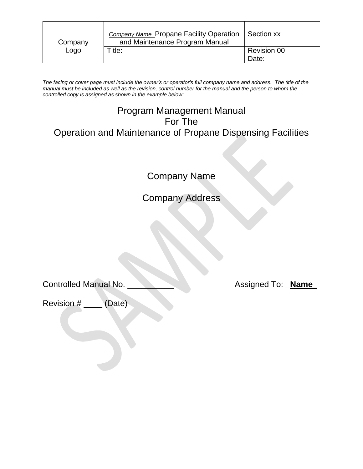| Company | <b>Company Name Propane Facility Operation</b><br>and Maintenance Program Manual | Section xx                  |
|---------|----------------------------------------------------------------------------------|-----------------------------|
| Logo    | Title:                                                                           | <b>Revision 00</b><br>Date: |

*The facing or cover page must include the owner's or operator's full company name and address. The title of the manual must be included as well as the revision, control number for the manual and the person to whom the controlled copy is assigned as shown in the example below:*

# Program Management Manual For The Operation and Maintenance of Propane Dispensing Facilities

Company Name

Company Address

Controlled Manual No. \_\_\_\_\_\_\_\_\_\_ Assigned To: **\_Name\_**

Revision # \_\_\_\_ (Date)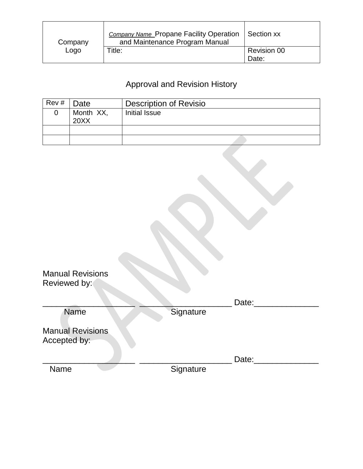| Company | <b>Company Name Propane Facility Operation</b><br>and Maintenance Program Manual | Section xx                  |
|---------|----------------------------------------------------------------------------------|-----------------------------|
| Logo    | Title:                                                                           | <b>Revision 00</b><br>Date: |

# Approval and Revision History

| Rev# | Date      | <b>Description of Revisio</b> |
|------|-----------|-------------------------------|
|      | Month XX, | Initial Issue                 |
|      | 20XX      |                               |
|      |           |                               |
|      |           |                               |

| <b>Manual Revisions</b><br>Reviewed by: |           |       |
|-----------------------------------------|-----------|-------|
|                                         |           | Date: |
| <b>Name</b>                             | Signature |       |
| <b>Manual Revisions</b><br>Accepted by: |           |       |
|                                         |           | Date: |
| Name                                    | Signature |       |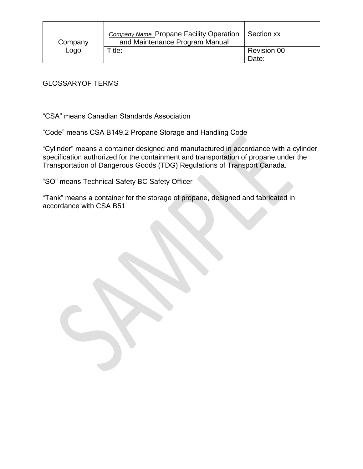| Company | <b>Company Name Propane Facility Operation</b><br>and Maintenance Program Manual | Section xx                  |
|---------|----------------------------------------------------------------------------------|-----------------------------|
| Logo    | Title:                                                                           | <b>Revision 00</b><br>Date: |

### GLOSSARYOF TERMS

"CSA" means Canadian Standards Association

"Code" means CSA B149.2 Propane Storage and Handling Code

"Cylinder" means a container designed and manufactured in accordance with a cylinder specification authorized for the containment and transportation of propane under the Transportation of Dangerous Goods (TDG) Regulations of Transport Canada.

"SO" means Technical Safety BC Safety Officer

"Tank" means a container for the storage of propane, designed and fabricated in accordance with CSA B51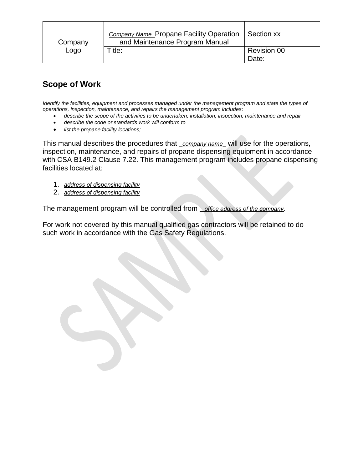| Company | <b>Company Name Propane Facility Operation   Section xx</b><br>and Maintenance Program Manual |                             |
|---------|-----------------------------------------------------------------------------------------------|-----------------------------|
| Logo    | Title:                                                                                        | <b>Revision 00</b><br>Date: |

## **Scope of Work**

*Identify the facilities, equipment and processes managed under the management program and state the types of operations, inspection, maintenance, and repairs the management program includes:*

- *describe the scope of the activities to be undertaken; installation, inspection, maintenance and repair*
- *describe the code or standards work will conform to*
- *list the propane facility locations;*

This manual describes the procedures that \_*company name*\_ will use for the operations, inspection, maintenance, and repairs of propane dispensing equipment in accordance with CSA B149.2 Clause 7.22. This management program includes propane dispensing facilities located at:

- 1. *address of dispensing facility*
- 2. *address of dispensing facility*

The management program will be controlled from \_ *office address of the company*.

For work not covered by this manual qualified gas contractors will be retained to do such work in accordance with the Gas Safety Regulations.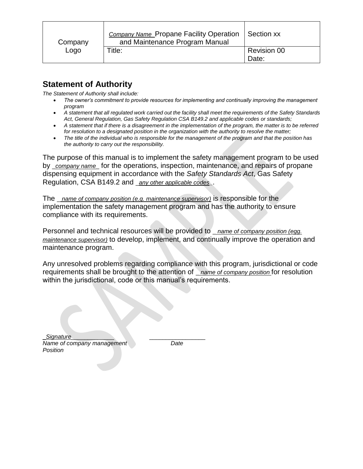| Company | <b>Company Name Propane Facility Operation</b><br>and Maintenance Program Manual | Section xx                  |
|---------|----------------------------------------------------------------------------------|-----------------------------|
| Logo    | Title:                                                                           | <b>Revision 00</b><br>Date: |

## **Statement of Authority**

*The Statement of Authority shall include:*

- *The owner's commitment to provide resources for implementing and continually improving the management program*
- *A statement that all regulated work carried out the facility shall meet the requirements of the Safety Standards Act, General Regulation, Gas Safety Regulation CSA B149.2 and applicable codes or standards;*
- *A statement that if there is a disagreement in the implementation of the program, the matter is to be referred for resolution to a designated position in the organization with the authority to resolve the matter;*
- *The title of the individual who is responsible for the management of the program and that the position has the authority to carry out the responsibility.*

The purpose of this manual is to implement the safety management program to be used by \_*company name*\_ for the operations, inspection, maintenance, and repairs of propane dispensing equipment in accordance with the *Safety Standards Act*, Gas Safety Regulation, CSA B149.2 and \_*any other applicable codes\_*.

The \_ *name of company position (e.g. maintenance supervisor)* is responsible for the implementation the safety management program and has the authority to ensure compliance with its requirements.

Personnel and technical resources will be provided to \_ *name of company position (egg. maintenance supervisor)* to develop, implement, and continually improve the operation and maintenance program.

Any unresolved problems regarding compliance with this program, jurisdictional or code requirements shall be brought to the attention of \_ *name of company position* for resolution within the jurisdictional, code or this manual's requirements.

\_*Signature*\_\_\_\_\_\_\_\_\_\_\_\_\_ \_\_\_\_\_\_\_\_\_\_\_\_\_\_\_\_\_ *Name of company management Date Position*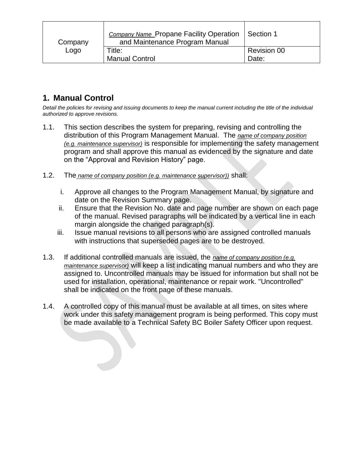| Company | <b>Company Name_Propane Facility Operation</b><br>and Maintenance Program Manual | Section 1                   |
|---------|----------------------------------------------------------------------------------|-----------------------------|
| Logo    | Title:<br><b>Manual Control</b>                                                  | <b>Revision 00</b><br>Date: |

## **1. Manual Control**

*Detail the policies for revising and issuing documents to keep the manual current including the title of the individual authorized to approve revisions.*

- 1.1. This section describes the system for preparing, revising and controlling the distribution of this Program Management Manual. The *name of company position (e.g. maintenance supervisor)* is responsible for implementing the safety management program and shall approve this manual as evidenced by the signature and date on the "Approval and Revision History" page.
- 1.2. The *name of company position (e.g. maintenance supervisor))* shall:
	- i. Approve all changes to the Program Management Manual, by signature and date on the Revision Summary page.
	- ii. Ensure that the Revision No. date and page number are shown on each page of the manual. Revised paragraphs will be indicated by a vertical line in each margin alongside the changed paragraph(s).
	- iii. Issue manual revisions to all persons who are assigned controlled manuals with instructions that superseded pages are to be destroyed.
- 1.3. If additional controlled manuals are issued, the *name of company position (e.g. maintenance supervisor)* will keep a list indicating manual numbers and who they are assigned to. Uncontrolled manuals may be issued for information but shall not be used for installation, operational, maintenance or repair work. "Uncontrolled" shall be indicated on the front page of these manuals.
- 1.4. A controlled copy of this manual must be available at all times, on sites where work under this safety management program is being performed. This copy must be made available to a Technical Safety BC Boiler Safety Officer upon request.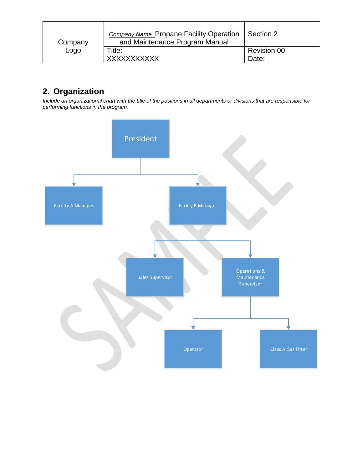| Company | <b>Company Name Propane Facility Operation</b><br>and Maintenance Program Manual | Section 2                   |
|---------|----------------------------------------------------------------------------------|-----------------------------|
| Logo    | Title:<br>XXXXXXXXXXX                                                            | <b>Revision 00</b><br>Date: |

# **2. Organization**

*Include an organizational chart with the title of the positions in all departments or divisions that are responsible for performing functions in the program.*

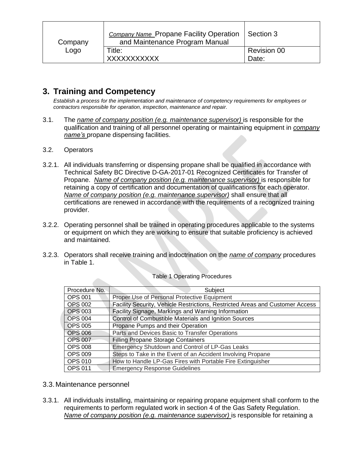| Company | <b>Company Name Propane Facility Operation</b><br>and Maintenance Program Manual | Section 3                   |
|---------|----------------------------------------------------------------------------------|-----------------------------|
| Logo    | Title:<br>XXXXXXXXXXX                                                            | <b>Revision 00</b><br>Date: |

## **3. Training and Competency**

*Establish a process for the implementation and maintenance of competency requirements for employees or contractors responsible for operation, inspection, maintenance and repair.*

- 3.1. The *name of company position (e.g. maintenance supervisor)* is responsible for the qualification and training of all personnel operating or maintaining equipment in *company name's* propane dispensing facilities.
- 3.2. Operators
- 3.2.1. All individuals transferring or dispensing propane shall be qualified in accordance with Technical Safety BC Directive D-GA-2017-01 Recognized Certificates for Transfer of Propane. *Name of company position (e.g. maintenance supervisor)* is responsible for retaining a copy of certification and documentation of qualifications for each operator. *Name of company position (e.g. maintenance supervisor)* shall ensure that all certifications are renewed in accordance with the requirements of a recognized training provider.
- 3.2.2. Operating personnel shall be trained in operating procedures applicable to the systems or equipment on which they are working to ensure that suitable proficiency is achieved and maintained.
- 3.2.3. Operators shall receive training and indoctrination on the *name of company* procedures in Table 1.

| Procedure No.  | Subject                                                                       |
|----------------|-------------------------------------------------------------------------------|
| <b>OPS 001</b> | Proper Use of Personal Protective Equipment                                   |
| <b>OPS 002</b> | Facility Security, Vehicle Restrictions, Restricted Areas and Customer Access |
| <b>OPS 003</b> | Facility Signage, Markings and Warning Information                            |
| <b>OPS 004</b> | Control of Combustible Materials and Ignition Sources                         |
| <b>OPS 005</b> | Propane Pumps and their Operation                                             |
| <b>OPS 006</b> | Parts and Devices Basic to Transfer Operations                                |
| <b>OPS 007</b> | <b>Filling Propane Storage Containers</b>                                     |
| <b>OPS 008</b> | Emergency Shutdown and Control of LP-Gas Leaks                                |
| <b>OPS 009</b> | Steps to Take in the Event of an Accident Involving Propane                   |
| <b>OPS 010</b> | How to Handle LP-Gas Fires with Portable Fire Extinguisher                    |
| <b>OPS 011</b> | <b>Emergency Response Guidelines</b>                                          |

#### Table 1 Operating Procedures

- 3.3.Maintenance personnel
- 3.3.1. All individuals installing, maintaining or repairing propane equipment shall conform to the requirements to perform regulated work in section 4 of the Gas Safety Regulation. *Name of company position (e.g. maintenance supervisor)* is responsible for retaining a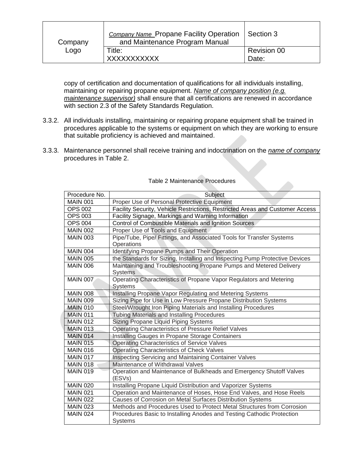| Company | <b>Company Name Propane Facility Operation</b><br>and Maintenance Program Manual | Section 3                   |
|---------|----------------------------------------------------------------------------------|-----------------------------|
| Logo    | Title:<br><b>XXXXXXXXXXX</b>                                                     | <b>Revision 00</b><br>Date: |

copy of certification and documentation of qualifications for all individuals installing, maintaining or repairing propane equipment. *Name of company position (e.g. maintenance supervisor)* shall ensure that all certifications are renewed in accordance with section 2.3 of the Safety Standards Regulation.

- 3.3.2. All individuals installing, maintaining or repairing propane equipment shall be trained in procedures applicable to the systems or equipment on which they are working to ensure that suitable proficiency is achieved and maintained.
- 3.3.3. Maintenance personnel shall receive training and indoctrination on the *name of company* procedures in Table 2.

| Procedure No.   | Subject                                                                       |
|-----------------|-------------------------------------------------------------------------------|
| <b>MAIN 001</b> | Proper Use of Personal Protective Equipment                                   |
| <b>OPS 002</b>  | Facility Security, Vehicle Restrictions, Restricted Areas and Customer Access |
| <b>OPS 003</b>  | Facility Signage, Markings and Warning Information                            |
| <b>OPS 004</b>  | Control of Combustible Materials and Ignition Sources                         |
| <b>MAIN 002</b> | Proper Use of Tools and Equipment                                             |
| <b>MAIN 003</b> | Pipe/Tube, Pipe/ Fittings, and Associated Tools for Transfer Systems          |
|                 | Operations                                                                    |
| <b>MAIN 004</b> | Identifying Propane Pumps and Their Operation                                 |
| <b>MAIN 005</b> | the Standards for Sizing, Installing and Inspecting Pump Protective Devices   |
| <b>MAIN 006</b> | Maintaining and Troubleshooting Propane Pumps and Metered Delivery            |
|                 | <b>Systems</b>                                                                |
| <b>MAIN 007</b> | Operating Characteristics of Propane Vapor Regulators and Metering            |
|                 | <b>Systems</b>                                                                |
| <b>MAIN 008</b> | Installing Propane Vapor Regulating and Metering Systems                      |
| <b>MAIN 009</b> | Sizing Pipe for Use in Low Pressure Propane Distribution Systems              |
| <b>MAIN 010</b> | Steel/Wrought Iron Piping Materials and Installing Procedures                 |
| <b>MAIN 011</b> | <b>Tubing Materials and Installing Procedures</b>                             |
| <b>MAIN 012</b> | <b>Sizing Propane Liquid Piping Systems</b>                                   |
| <b>MAIN 013</b> | Operating Characteristics of Pressure Relief Valves                           |
| <b>MAIN 014</b> | Installing Gauges in Propane Storage Containers                               |
| <b>MAIN 015</b> | <b>Operating Characteristics of Service Valves</b>                            |
| <b>MAIN 016</b> | Operating Characteristics of Check Valves                                     |
| <b>MAIN 017</b> | Inspecting Servicing and Maintaining Container Valves                         |
| <b>MAIN 018</b> | Maintenance of Withdrawal Valves                                              |
| <b>MAIN 019</b> | Operation and Maintenance of Bulkheads and Emergency Shutoff Valves           |
|                 | (ESVs)                                                                        |
| <b>MAIN 020</b> | Installing Propane Liquid Distribution and Vaporizer Systems                  |
| <b>MAIN 021</b> | Operation and Maintenance of Hoses, Hose End Valves, and Hose Reels           |
| <b>MAIN 022</b> | Causes of Corrosion on Metal Surfaces Distribution Systems                    |
| <b>MAIN 023</b> | Methods and Procedures Used to Protect Metal Structures from Corrosion        |
| <b>MAIN 024</b> | Procedures Basic to Installing Anodes and Testing Cathodic Protection         |
|                 | <b>Systems</b>                                                                |

#### Table 2 Maintenance Procedures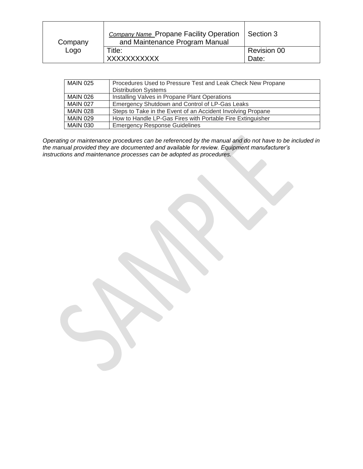| Company | <b>Company Name Propane Facility Operation</b><br>and Maintenance Program Manual | Section 3                   |
|---------|----------------------------------------------------------------------------------|-----------------------------|
| Logo    | Title:<br><b>XXXXXXXXXXX</b>                                                     | <b>Revision 00</b><br>Date: |

| <b>MAIN 025</b> | Procedures Used to Pressure Test and Leak Check New Propane<br><b>Distribution Systems</b> |
|-----------------|--------------------------------------------------------------------------------------------|
| <b>MAIN 026</b> | Installing Valves in Propane Plant Operations                                              |
| <b>MAIN 027</b> | Emergency Shutdown and Control of LP-Gas Leaks                                             |
| <b>MAIN 028</b> | Steps to Take in the Event of an Accident Involving Propane                                |
| <b>MAIN 029</b> | How to Handle LP-Gas Fires with Portable Fire Extinguisher                                 |
| <b>MAIN 030</b> | <b>Emergency Response Guidelines</b>                                                       |

*Operating or maintenance procedures can be referenced by the manual and do not have to be included in the manual provided they are documented and available for review. Equipment manufacturer's instructions and maintenance processes can be adopted as procedures.*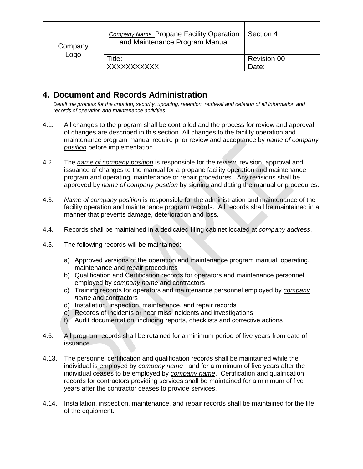| Company<br>Logo | <b>Company Name Propane Facility Operation</b><br>and Maintenance Program Manual | Section 4          |
|-----------------|----------------------------------------------------------------------------------|--------------------|
|                 | Title:                                                                           | <b>Revision 00</b> |
|                 | <b>XXXXXXXXXXX</b>                                                               | Date:              |

## **4. Document and Records Administration**

*Detail the process for the creation, security, updating, retention, retrieval and deletion of all information and records of operation and maintenance activities.* 

- 4.1. All changes to the program shall be controlled and the process for review and approval of changes are described in this section. All changes to the facility operation and maintenance program manual require prior review and acceptance by *name of company position* before implementation.
- 4.2. The *name of company position* is responsible for the review, revision, approval and issuance of changes to the manual for a propane facility operation and maintenance program and operating, maintenance or repair procedures. Any revisions shall be approved by *name of company position* by signing and dating the manual or procedures.
- 4.3. *Name of company position* is responsible for the administration and maintenance of the facility operation and maintenance program records. All records shall be maintained in a manner that prevents damage, deterioration and loss.
- 4.4. Records shall be maintained in a dedicated filing cabinet located at *company address*.
- 4.5. The following records will be maintained:
	- a) Approved versions of the operation and maintenance program manual, operating, maintenance and repair procedures
	- b) Qualification and Certification records for operators and maintenance personnel employed by *company name* and contractors
	- c) Training records for operators and maintenance personnel employed by *company name* and contractors
	- d) Installation, inspection, maintenance, and repair records
	- e) Records of incidents or near miss incidents and investigations
	- f) Audit documentation, including reports, checklists and corrective actions
- 4.6. All program records shall be retained for a minimum period of five years from date of issuance.
- 4.13. The personnel certification and qualification records shall be maintained while the individual is employed by *company name* and for a minimum of five years after the individual ceases to be employed by *company name*. Certification and qualification records for contractors providing services shall be maintained for a minimum of five years after the contractor ceases to provide services.
- 4.14. Installation, inspection, maintenance, and repair records shall be maintained for the life of the equipment.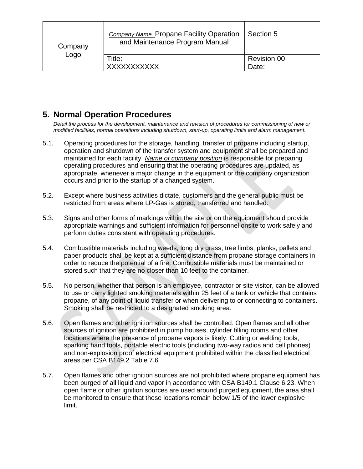| Company<br>Logo | <b>Company Name Propane Facility Operation</b><br>and Maintenance Program Manual | Section 5          |
|-----------------|----------------------------------------------------------------------------------|--------------------|
|                 | Title:                                                                           | <b>Revision 00</b> |
|                 | <b>XXXXXXXXXXX</b>                                                               | Date:              |

## **5. Normal Operation Procedures**

*Detail the process for the development, maintenance and revision of procedures for commissioning of new or modified facilities, normal operations including shutdown, start-up, operating limits and alarm management.*

- 5.1. Operating procedures for the storage, handling, transfer of propane including startup, operation and shutdown of the transfer system and equipment shall be prepared and maintained for each facility. *Name of company position* is responsible for preparing operating procedures and ensuring that the operating procedures are updated, as appropriate, whenever a major change in the equipment or the company organization occurs and prior to the startup of a changed system.
- 5.2. Except where business activities dictate, customers and the general public must be restricted from areas where LP-Gas is stored, transferred and handled.
- 5.3. Signs and other forms of markings within the site or on the equipment should provide appropriate warnings and sufficient information for personnel onsite to work safely and perform duties consistent with operating procedures.
- 5.4. Combustible materials including weeds, long dry grass, tree limbs, planks, pallets and paper products shall be kept at a sufficient distance from propane storage containers in order to reduce the potential of a fire. Combustible materials must be maintained or stored such that they are no closer than 10 feet to the container.
- 5.5. No person, whether that person is an employee, contractor or site visitor, can be allowed to use or carry lighted smoking materials within 25 feet of a tank or vehicle that contains propane, of any point of liquid transfer or when delivering to or connecting to containers. Smoking shall be restricted to a designated smoking area.
- 5.6. Open flames and other ignition sources shall be controlled. Open flames and all other sources of ignition are prohibited in pump houses, cylinder filling rooms and other locations where the presence of propane vapors is likely. Cutting or welding tools, sparking hand tools, portable electric tools (including two-way radios and cell phones) and non-explosion proof electrical equipment prohibited within the classified electrical areas per CSA B149.2 Table 7.6
- 5.7. Open flames and other ignition sources are not prohibited where propane equipment has been purged of all liquid and vapor in accordance with CSA B149.1 Clause 6.23. When open flame or other ignition sources are used around purged equipment, the area shall be monitored to ensure that these locations remain below 1/5 of the lower explosive limit.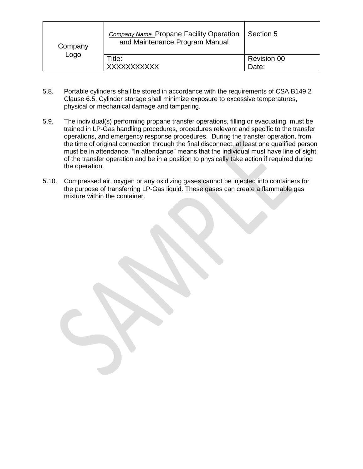| Company<br>Logo | <b>Company Name Propane Facility Operation</b><br>and Maintenance Program Manual | Section 5          |
|-----------------|----------------------------------------------------------------------------------|--------------------|
|                 | Title:                                                                           | <b>Revision 00</b> |
|                 | <b>XXXXXXXXXXX</b>                                                               | Date:              |

- 5.8. Portable cylinders shall be stored in accordance with the requirements of CSA B149.2 Clause 6.5. Cylinder storage shall minimize exposure to excessive temperatures, physical or mechanical damage and tampering.
- 5.9. The individual(s) performing propane transfer operations, filling or evacuating, must be trained in LP-Gas handling procedures, procedures relevant and specific to the transfer operations, and emergency response procedures. During the transfer operation, from the time of original connection through the final disconnect, at least one qualified person must be in attendance. "In attendance" means that the individual must have line of sight of the transfer operation and be in a position to physically take action if required during the operation.
- 5.10. Compressed air, oxygen or any oxidizing gases cannot be injected into containers for the purpose of transferring LP-Gas liquid. These gases can create a flammable gas mixture within the container.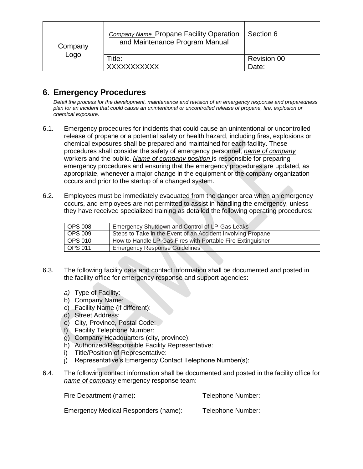| Company<br>Logo | <b>Company Name Propane Facility Operation</b><br>and Maintenance Program Manual | Section 6          |
|-----------------|----------------------------------------------------------------------------------|--------------------|
|                 | Title:                                                                           | <b>Revision 00</b> |
|                 | <b>XXXXXXXXXXX</b>                                                               | Date:              |

## **6. Emergency Procedures**

*Detail the process for the development, maintenance and revision of an emergency response and preparedness plan for an incident that could cause an unintentional or uncontrolled release of propane, fire, explosion or chemical exposure.*

- 6.1. Emergency procedures for incidents that could cause an unintentional or uncontrolled release of propane or a potential safety or health hazard, including fires, explosions or chemical exposures shall be prepared and maintained for each facility. These procedures shall consider the safety of emergency personnel, *name of company*  workers and the public. *Name of company position* is responsible for preparing emergency procedures and ensuring that the emergency procedures are updated, as appropriate, whenever a major change in the equipment or the company organization occurs and prior to the startup of a changed system.
- 6.2. Employees must be immediately evacuated from the danger area when an emergency occurs, and employees are not permitted to assist in handling the emergency, unless they have received specialized training as detailed the following operating procedures:

| <b>OPS 008</b> | Emergency Shutdown and Control of LP-Gas Leaks              |
|----------------|-------------------------------------------------------------|
| <b>OPS 009</b> | Steps to Take in the Event of an Accident Involving Propane |
| OPS 010        | How to Handle LP-Gas Fires with Portable Fire Extinguisher  |
| <b>OPS 011</b> | <b>Emergency Response Guidelines</b>                        |

- 6.3. The following facility data and contact information shall be documented and posted in the facility office for emergency response and support agencies:
	- *a)* Type of Facility:
	- b) Company Name:
	- c) Facility Name (if different):
	- d) Street Address:
	- e) City, Province, Postal Code:
	- f) Facility Telephone Number:
	- g) Company Headquarters (city, province):
	- h) Authorized/Responsible Facility Representative:
	- i) Title/Position of Representative:
	- j) Representative's Emergency Contact Telephone Number(s):
- 6.4. The following contact information shall be documented and posted in the facility office for *name of company* emergency response team:

Fire Department (name): Telephone Number: Emergency Medical Responders (name): Telephone Number: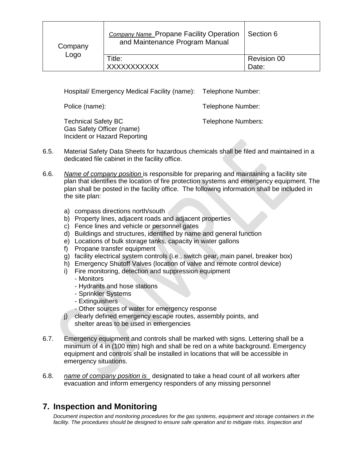| Company<br>Logo | <b>Company Name Propane Facility Operation</b><br>and Maintenance Program Manual | Section 6                   |
|-----------------|----------------------------------------------------------------------------------|-----------------------------|
|                 | Title:<br><b>XXXXXXXXXXX</b>                                                     | <b>Revision 00</b><br>Date: |

Hospital/ Emergency Medical Facility (name): Telephone Number:

Police (name): Telephone Number:

Technical Safety BC Gas Safety Officer (name) Incident or Hazard Reporting Telephone Numbers:

- 6.5. Material Safety Data Sheets for hazardous chemicals shall be filed and maintained in a dedicated file cabinet in the facility office.
- 6.6. *Name of company position* is responsible for preparing and maintaining a facility site plan that identifies the location of fire protection systems and emergency equipment. The plan shall be posted in the facility office. The following information shall be included in the site plan:
	- a) compass directions north/south
	- b) Property lines, adjacent roads and adjacent properties
	- c) Fence lines and vehicle or personnel gates
	- d) Buildings and structures, identified by name and general function
	- e) Locations of bulk storage tanks, capacity in water gallons
	- f) Propane transfer equipment
	- g) facility electrical system controls (i.e., switch gear, main panel, breaker box)
	- h) Emergency Shutoff Valves (location of valve and remote control device)
	- i) Fire monitoring, detection and suppression equipment
		- Monitors
		- Hydrants and hose stations
		- Sprinkler Systems
		- Extinguishers
		- Other sources of water for emergency response
	- j) clearly defined emergency escape routes, assembly points, and shelter areas to be used in emergencies
- 6.7. Emergency equipment and controls shall be marked with signs. Lettering shall be a minimum of 4 in (100 mm) high and shall be red on a white background. Emergency equipment and controls shall be installed in locations that will be accessible in emergency situations.
- 6.8. *name of company position is* designated to take a head count of all workers after evacuation and inform emergency responders of any missing personnel

## **7. Inspection and Monitoring**

*Document inspection and monitoring procedures for the gas systems, equipment and storage containers in the facility. The procedures should be designed to ensure safe operation and to mitigate risks. Inspection and*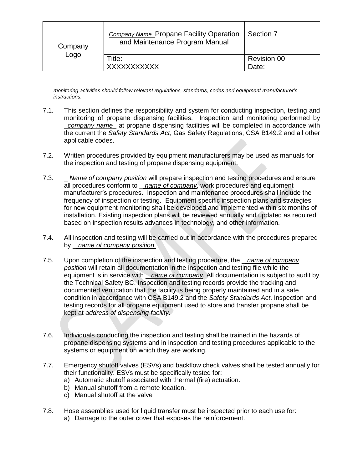| Company<br>Logo | <b>Company Name_Propane Facility Operation</b><br>and Maintenance Program Manual | Section 7                   |
|-----------------|----------------------------------------------------------------------------------|-----------------------------|
|                 | Title:<br>XXXXXXXXXXX                                                            | <b>Revision 00</b><br>Date: |

*monitoring activities should follow relevant regulations, standards, codes and equipment manufacturer's instructions.*

- 7.1. This section defines the responsibility and system for conducting inspection, testing and monitoring of propane dispensing facilities. Inspection and monitoring performed by \_*company name*\_ at propane dispensing facilities will be completed in accordance with the current the *Safety Standards Act*, Gas Safety Regulations, CSA B149.2 and all other applicable codes.
- 7.2. Written procedures provided by equipment manufacturers may be used as manuals for the inspection and testing of propane dispensing equipment.
- 7.3. \_ *Name of company position* will prepare inspection and testing procedures and ensure all procedures conform to \_ *name of company*, work procedures and equipment manufacturer's procedures. Inspection and maintenance procedures shall include the frequency of inspection or testing. Equipment specific inspection plans and strategies for new equipment monitoring shall be developed and implemented within six months of installation. Existing inspection plans will be reviewed annually and updated as required based on inspection results advances in technology, and other information.
- 7.4. All inspection and testing will be carried out in accordance with the procedures prepared by \_ *name of company position.*
- 7.5. Upon completion of the inspection and testing procedure, the \_ *name of company position* will retain all documentation in the inspection and testing file while the equipment is in service with \_ *name of company*. All documentation is subject to audit by the Technical Safety BC. Inspection and testing records provide the tracking and documented verification that the facility is being properly maintained and in a safe condition in accordance with CSA B149.2 and the *Safety Standards Act*. Inspection and testing records for all propane equipment used to store and transfer propane shall be kept at *address of dispensing facility*.
- 7.6. Individuals conducting the inspection and testing shall be trained in the hazards of propane dispensing systems and in inspection and testing procedures applicable to the systems or equipment on which they are working.
- 7.7. Emergency shutoff valves (ESVs) and backflow check valves shall be tested annually for their functionality. ESVs must be specifically tested for:
	- a) Automatic shutoff associated with thermal (fire) actuation.
	- b) Manual shutoff from a remote location.
	- c) Manual shutoff at the valve
- 7.8. Hose assemblies used for liquid transfer must be inspected prior to each use for:
	- a) Damage to the outer cover that exposes the reinforcement.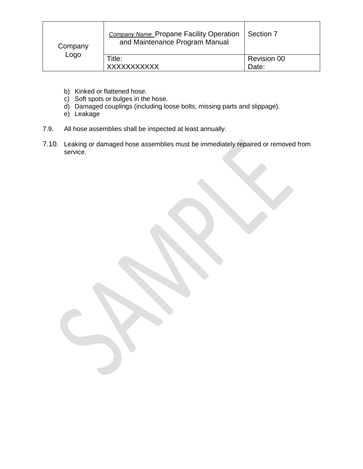| Company<br>Logo | <b>Company Name Propane Facility Operation</b><br>and Maintenance Program Manual | Section 7                   |
|-----------------|----------------------------------------------------------------------------------|-----------------------------|
|                 | Title:<br><b>XXXXXXXXXXX</b>                                                     | <b>Revision 00</b><br>Date: |

- b) Kinked or flattened hose.
- c) Soft spots or bulges in the hose.
- d) Damaged couplings (including loose bolts, missing parts and slippage).
- e) Leakage
- 7.9. All hose assemblies shall be inspected at least annually.
- 7.10. Leaking or damaged hose assemblies must be immediately repaired or removed from service.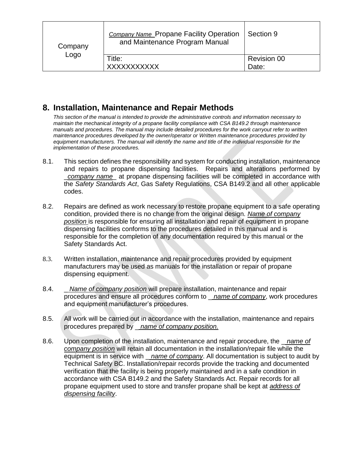| Company<br>Logo | <b>Company Name Propane Facility Operation</b><br>and Maintenance Program Manual | Section 9          |
|-----------------|----------------------------------------------------------------------------------|--------------------|
|                 | Title:                                                                           | <b>Revision 00</b> |
|                 | <b>XXXXXXXXXXX</b>                                                               | Date:              |

## **8. Installation, Maintenance and Repair Methods**

*This section of the manual is intended to provide the administrative controls and information necessary to maintain the mechanical integrity of a propane facility compliance with CSA B149.2 through maintenance manuals and procedures. The manual may include detailed procedures for the work carryout refer to written maintenance procedures developed by the owner/operator or Written maintenance procedures provided by equipment manufacturers. The manual will identify the name and title of the individual responsible for the implementation of these procedures.*

- 8.1. This section defines the responsibility and system for conducting installation, maintenance and repairs to propane dispensing facilities. Repairs and alterations performed by \_*company name*\_ at propane dispensing facilities will be completed in accordance with the *Safety Standards Act*, Gas Safety Regulations, CSA B149.2 and all other applicable codes.
- 8.2. Repairs are defined as work necessary to restore propane equipment to a safe operating condition, provided there is no change from the original design. *Name of company position* is responsible for ensuring all installation and repair of equipment in propane dispensing facilities conforms to the procedures detailed in this manual and is responsible for the completion of any documentation required by this manual or the Safety Standards Act.
- 8.3. Written installation, maintenance and repair procedures provided by equipment manufacturers may be used as manuals for the installation or repair of propane dispensing equipment.
- 8.4. \_ *Name of company position* will prepare installation, maintenance and repair procedures and ensure all procedures conform to \_ *name of company*, work procedures and equipment manufacturer's procedures.
- 8.5. All work will be carried out in accordance with the installation, maintenance and repairs procedures prepared by \_ *name of company position.*
- 8.6. Upon completion of the installation, maintenance and repair procedure, the \_ *name of company position* will retain all documentation in the installation/repair file while the equipment is in service with \_ *name of company*. All documentation is subject to audit by Technical Safety BC. Installation/repair records provide the tracking and documented verification that the facility is being properly maintained and in a safe condition in accordance with CSA B149.2 and the Safety Standards Act. Repair records for all propane equipment used to store and transfer propane shall be kept at *address of dispensing facility*.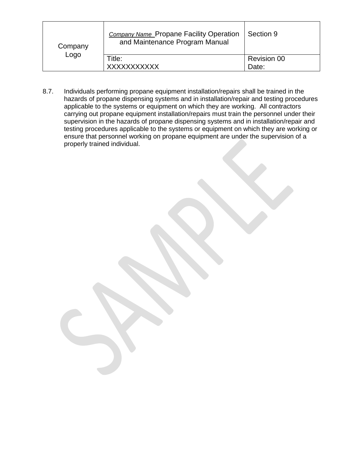| Company<br>Logo | <b>Company Name Propane Facility Operation</b><br>and Maintenance Program Manual | Section 9          |
|-----------------|----------------------------------------------------------------------------------|--------------------|
|                 | Title:<br><b>XXXXXXXXXXX</b>                                                     | <b>Revision 00</b> |
|                 |                                                                                  | Date:              |

8.7. Individuals performing propane equipment installation/repairs shall be trained in the hazards of propane dispensing systems and in installation/repair and testing procedures applicable to the systems or equipment on which they are working. All contractors carrying out propane equipment installation/repairs must train the personnel under their supervision in the hazards of propane dispensing systems and in installation/repair and testing procedures applicable to the systems or equipment on which they are working or ensure that personnel working on propane equipment are under the supervision of a properly trained individual.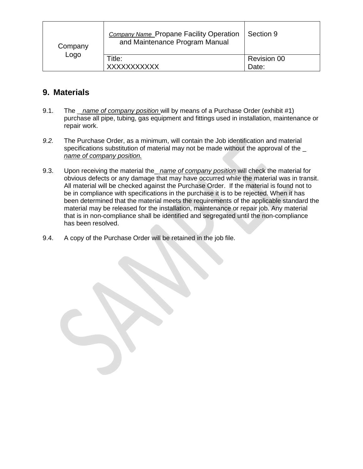| Company<br>Logo | <b>Company Name Propane Facility Operation</b><br>and Maintenance Program Manual | Section 9          |
|-----------------|----------------------------------------------------------------------------------|--------------------|
|                 | Title:<br><b>XXXXXXXXXXX</b>                                                     | <b>Revision 00</b> |
|                 |                                                                                  | Date:              |

## **9. Materials**

- 9.1. The \_ *name of company position* will by means of a Purchase Order (exhibit #1) purchase all pipe, tubing, gas equipment and fittings used in installation, maintenance or repair work.
- *9.2.* The Purchase Order, as a minimum, will contain the Job identification and material specifications substitution of material may not be made without the approval of the \_ *name of company position.*
- 9.3. Upon receiving the material the\_ *name of company position* will check the material for obvious defects or any damage that may have occurred while the material was in transit. All material will be checked against the Purchase Order. If the material is found not to be in compliance with specifications in the purchase it is to be rejected. When it has been determined that the material meets the requirements of the applicable standard the material may be released for the installation, maintenance or repair job. Any material that is in non-compliance shall be identified and segregated until the non-compliance has been resolved.
- 9.4. A copy of the Purchase Order will be retained in the job file.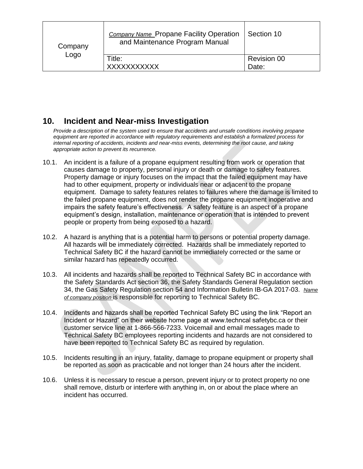| Company<br>Logo | <b>Company Name_Propane Facility Operation</b><br>and Maintenance Program Manual | Section 10         |
|-----------------|----------------------------------------------------------------------------------|--------------------|
|                 | Title:                                                                           | <b>Revision 00</b> |
|                 | <b>XXXXXXXXXXX</b>                                                               | Date:              |

## **10. Incident and Near-miss Investigation**

*Provide a description of the system used to ensure that accidents and unsafe conditions involving propane equipment are reported in accordance with regulatory requirements and establish a formalized process for internal reporting of accidents, incidents and near-miss events, determining the root cause, and taking appropriate action to prevent its recurrence.*

- 10.1. An incident is a failure of a propane equipment resulting from work or operation that causes damage to property, personal injury or death or damage to safety features. Property damage or injury focuses on the impact that the failed equipment may have had to other equipment, property or individuals near or adjacent to the propane equipment. Damage to safety features relates to failures where the damage is limited to the failed propane equipment, does not render the propane equipment inoperative and impairs the safety feature's effectiveness. A safety feature is an aspect of a propane equipment's design, installation, maintenance or operation that is intended to prevent people or property from being exposed to a hazard.
- 10.2. A hazard is anything that is a potential harm to persons or potential property damage. All hazards will be immediately corrected. Hazards shall be immediately reported to Technical Safety BC if the hazard cannot be immediately corrected or the same or similar hazard has repeatedly occurred.
- 10.3. All incidents and hazards shall be reported to Technical Safety BC in accordance with the Safety Standards Act section 36, the Safety Standards General Regulation section 34, the Gas Safety Regulation section 54 and Information Bulletin IB-GA 2017-03. *Name of company position* is responsible for reporting to Technical Safety BC.
- 10.4. Incidents and hazards shall be reported Technical Safety BC using the link "Report an Incident or Hazard" on their website home page at www.techncal safetybc.ca or their customer service line at 1-866-566-7233. Voicemail and email messages made to Technical Safety BC employees reporting incidents and hazards are not considered to have been reported to Technical Safety BC as required by regulation.
- 10.5. Incidents resulting in an injury, fatality, damage to propane equipment or property shall be reported as soon as practicable and not longer than 24 hours after the incident.
- 10.6. Unless it is necessary to rescue a person, prevent injury or to protect property no one shall remove, disturb or interfere with anything in, on or about the place where an incident has occurred.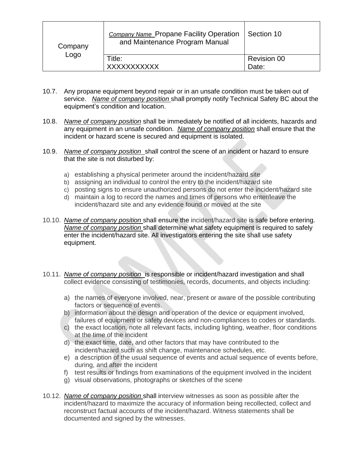| Company<br>Logo | <b>Company Name Propane Facility Operation</b><br>and Maintenance Program Manual | Section 10         |
|-----------------|----------------------------------------------------------------------------------|--------------------|
|                 | Title:                                                                           | <b>Revision 00</b> |
|                 | <b>XXXXXXXXXXX</b>                                                               | Date:              |

- 10.7. Any propane equipment beyond repair or in an unsafe condition must be taken out of service. *Name of company position* shall promptly notify Technical Safety BC about the equipment's condition and location.
- 10.8. *Name of company position* shall be immediately be notified of all incidents, hazards and any equipment in an unsafe condition. *Name of company position* shall ensure that the incident or hazard scene is secured and equipment is isolated.
- 10.9. *Name of company position* shall control the scene of an incident or hazard to ensure that the site is not disturbed by:
	- a) establishing a physical perimeter around the incident/hazard site
	- b) assigning an individual to control the entry to the incident/hazard site
	- c) posting signs to ensure unauthorized persons do not enter the incident/hazard site
	- d) maintain a log to record the names and times of persons who enter/leave the incident/hazard site and any evidence found or moved at the site
- 10.10. *Name of company position* shall ensure the incident/hazard site is safe before entering. *Name of company position* shall determine what safety equipment is required to safely enter the incident/hazard site. All investigators entering the site shall use safety equipment.
- 10.11. *Name of company position* is responsible or incident/hazard investigation and shall collect evidence consisting of testimonies, records, documents, and objects including:
	- a) the names of everyone involved, near, present or aware of the possible contributing factors or sequence of events.
	- b) information about the design and operation of the device or equipment involved, failures of equipment or safety devices and non-compliances to codes or standards.
	- c) the exact location, note all relevant facts, including lighting, weather, floor conditions at the time of the incident
	- d) the exact time, date, and other factors that may have contributed to the incident/hazard such as shift change, maintenance schedules, etc.
	- e) a description of the usual sequence of events and actual sequence of events before, during, and after the incident
	- f) test results or findings from examinations of the equipment involved in the incident
	- g) visual observations, photographs or sketches of the scene
- 10.12. *Name of company position* shall interview witnesses as soon as possible after the incident/hazard to maximize the accuracy of information being recollected, collect and reconstruct factual accounts of the incident/hazard. Witness statements shall be documented and signed by the witnesses.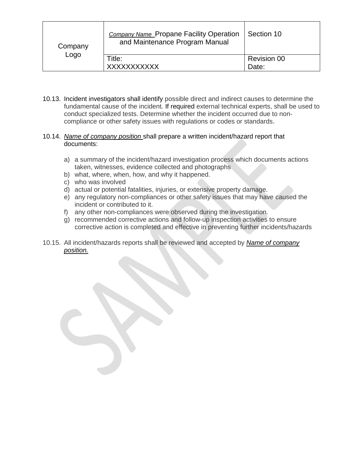| Company<br>Logo | <b>Company Name Propane Facility Operation</b><br>and Maintenance Program Manual | Section 10                  |
|-----------------|----------------------------------------------------------------------------------|-----------------------------|
|                 | Title:<br><b>XXXXXXXXXXX</b>                                                     | <b>Revision 00</b><br>Date: |
|                 |                                                                                  |                             |

10.13. Incident investigators shall identify possible direct and indirect causes to determine the fundamental cause of the incident*.* If required external technical experts, shall be used to conduct specialized tests. Determine whether the incident occurred due to noncompliance or other safety issues with regulations or codes or standards.

#### 10.14. *Name of company position* shall prepare a written incident/hazard report that documents:

- a) a summary of the incident/hazard investigation process which documents actions taken, witnesses, evidence collected and photographs
- b) what, where, when, how, and why it happened.
- c) who was involved
- d) actual or potential fatalities, injuries, or extensive property damage.
- e) any regulatory non-compliances or other safety issues that may have caused the incident or contributed to it.
- f) any other non-compliances were observed during the investigation.
- g) recommended corrective actions and follow-up inspection activities to ensure corrective action is completed and effective in preventing further incidents/hazards
- 10.15. All incident/hazards reports shall be reviewed and accepted by *Name of company position.*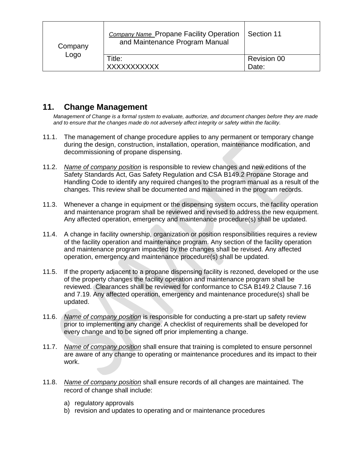| Company<br>Logo | <b>Company Name Propane Facility Operation</b><br>and Maintenance Program Manual | Section 11         |
|-----------------|----------------------------------------------------------------------------------|--------------------|
|                 | Title:                                                                           | <b>Revision 00</b> |
|                 | <b>XXXXXXXXXXX</b>                                                               | Date:              |

## **11. Change Management**

*Management of Change is a formal system to evaluate, authorize, and document changes before they are made and to ensure that the changes made do not adversely affect integrity or safety within the facility.*

- 11.1. The management of change procedure applies to any permanent or temporary change during the design, construction, installation, operation, maintenance modification, and decommissioning of propane dispensing.
- 11.2. *Name of company position* is responsible to review changes and new editions of the Safety Standards Act, Gas Safety Regulation and CSA B149.2 Propane Storage and Handling Code to identify any required changes to the program manual as a result of the changes. This review shall be documented and maintained in the program records.
- 11.3. Whenever a change in equipment or the dispensing system occurs, the facility operation and maintenance program shall be reviewed and revised to address the new equipment. Any affected operation, emergency and maintenance procedure(s) shall be updated.
- 11.4. A change in facility ownership, organization or position responsibilities requires a review of the facility operation and maintenance program. Any section of the facility operation and maintenance program impacted by the changes shall be revised. Any affected operation, emergency and maintenance procedure(s) shall be updated.
- 11.5. If the property adjacent to a propane dispensing facility is rezoned, developed or the use of the property changes the facility operation and maintenance program shall be reviewed. Clearances shall be reviewed for conformance to CSA B149.2 Clause 7.16 and 7.19. Any affected operation, emergency and maintenance procedure(s) shall be updated.
- 11.6. *Name of company position* is responsible for conducting a pre-start up safety review prior to implementing any change. A checklist of requirements shall be developed for every change and to be signed off prior implementing a change.
- 11.7. *Name of company position* shall ensure that training is completed to ensure personnel are aware of any change to operating or maintenance procedures and its impact to their work.
- 11.8. *Name of company position* shall ensure records of all changes are maintained. The record of change shall include:
	- a) regulatory approvals
	- b) revision and updates to operating and or maintenance procedures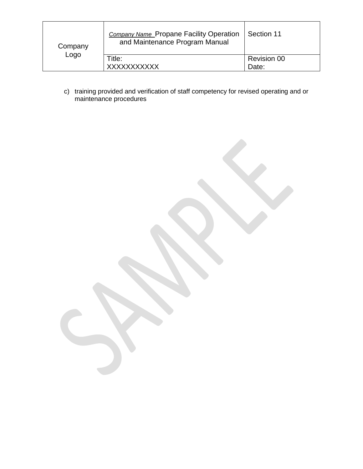| Company<br>Logo | <b>Company Name Propane Facility Operation</b><br>and Maintenance Program Manual | Section 11         |
|-----------------|----------------------------------------------------------------------------------|--------------------|
|                 | Title:                                                                           | <b>Revision 00</b> |
|                 | <b>XXXXXXXXXXX</b>                                                               | Date:              |

c) training provided and verification of staff competency for revised operating and or maintenance procedures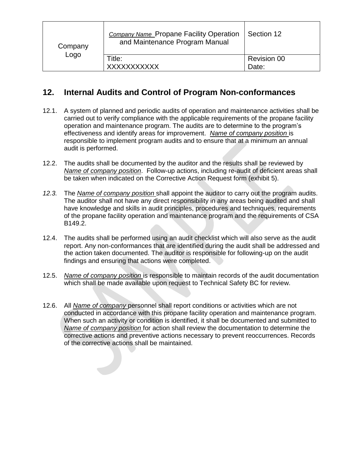| Company<br>Logo | <b>Company Name Propane Facility Operation</b><br>and Maintenance Program Manual | Section 12         |
|-----------------|----------------------------------------------------------------------------------|--------------------|
|                 | Title:                                                                           | <b>Revision 00</b> |
|                 | <b>XXXXXXXXXXX</b>                                                               | Date:              |

## **12. Internal Audits and Control of Program Non-conformances**

- 12.1. A system of planned and periodic audits of operation and maintenance activities shall be carried out to verify compliance with the applicable requirements of the propane facility operation and maintenance program. The audits are to determine to the program's effectiveness and identify areas for improvement. *Name of company position* is responsible to implement program audits and to ensure that at a minimum an annual audit is performed.
- 12.2. The audits shall be documented by the auditor and the results shall be reviewed by *Name of company position*. Follow-up actions, including re-audit of deficient areas shall be taken when indicated on the Corrective Action Request form (exhibit 5).
- *12.3.* The *Name of company position* shall appoint the auditor to carry out the program audits. The auditor shall not have any direct responsibility in any areas being audited and shall have knowledge and skills in audit principles, procedures and techniques, requirements of the propane facility operation and maintenance program and the requirements of CSA B149.2.
- 12.4. The audits shall be performed using an audit checklist which will also serve as the audit report. Any non-conformances that are identified during the audit shall be addressed and the action taken documented. The auditor is responsible for following-up on the audit findings and ensuring that actions were completed.
- 12.5. *Name of company position* is responsible to maintain records of the audit documentation which shall be made available upon request to Technical Safety BC for review.
- 12.6. All *Name of company* personnel shall report conditions or activities which are not conducted in accordance with this propane facility operation and maintenance program. When such an activity or condition is identified, it shall be documented and submitted to *Name of company position* for action shall review the documentation to determine the corrective actions and preventive actions necessary to prevent reoccurrences. Records of the corrective actions shall be maintained.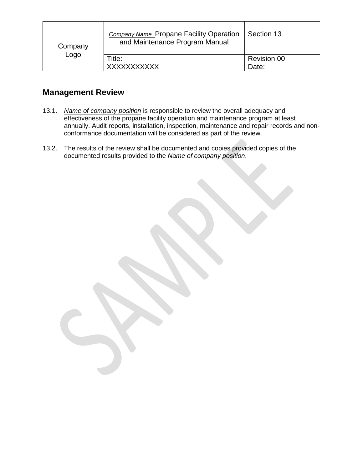| Company<br>Logo | <b>Company Name Propane Facility Operation</b><br>and Maintenance Program Manual | Section 13                  |
|-----------------|----------------------------------------------------------------------------------|-----------------------------|
|                 | Title:<br><b>XXXXXXXXXXX</b>                                                     | <b>Revision 00</b><br>Date: |
|                 |                                                                                  |                             |

## **Management Review**

- 13.1. *Name of company position* is responsible to review the overall adequacy and effectiveness of the propane facility operation and maintenance program at least annually. Audit reports, installation, inspection, maintenance and repair records and nonconformance documentation will be considered as part of the review.
- 13.2. The results of the review shall be documented and copies provided copies of the documented results provided to the *Name of company position*.